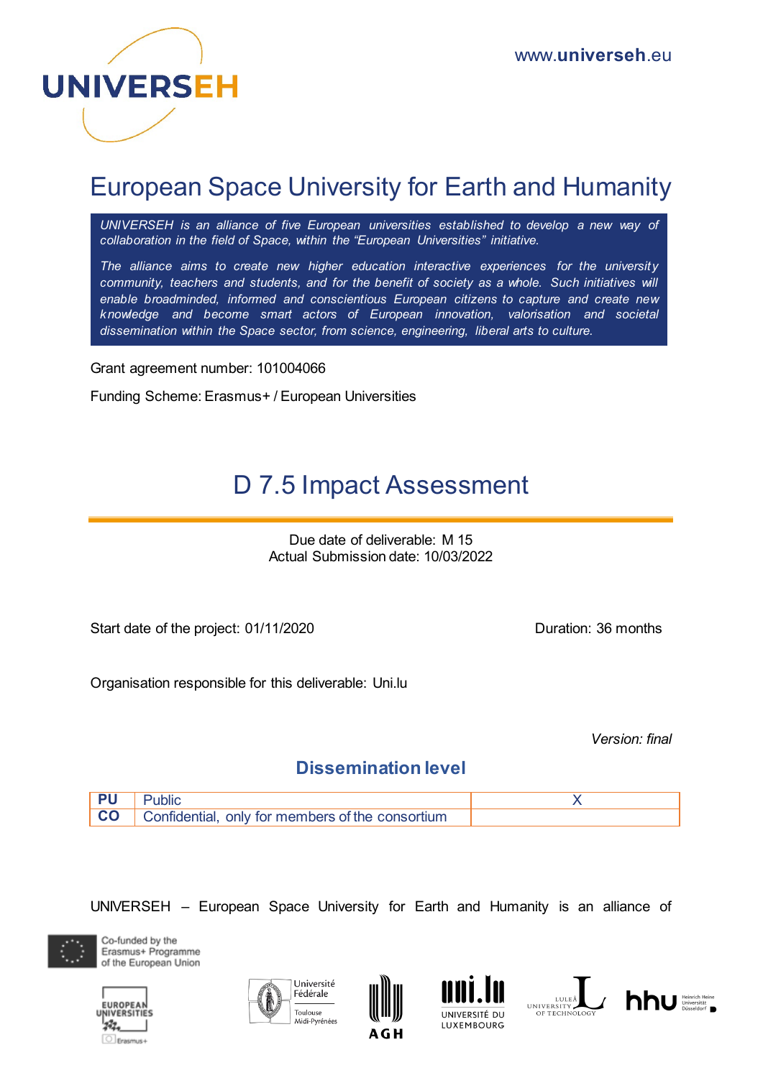

# European Space University for Earth and Humanity

*UNIVERSEH is an alliance of five European universities established to develop a new way of collaboration in the field of Space, within the "European Universities" initiative.*

*The alliance aims to create new higher education interactive experiences for the university community, teachers and students, and for the benefit of society as a whole. Such initiatives will enable broadminded, informed and conscientious European citizens to capture and create new knowledge and become smart actors of European innovation, valorisation and societal dissemination within the Space sector, from science, engineering, liberal arts to culture.*

Grant agreement number: 101004066

Funding Scheme: Erasmus+ / European Universities

# D 7.5 Impact Assessment

Due date of deliverable: M 15 Actual Submission date: 10/03/2022

Start date of the project: 01/11/2020 Duration: 36 months

Organisation responsible for this deliverable: Uni.lu

*Version: final* 

# **Dissemination level**



UNIVERSEH – European Space University for Earth and Humanity is an alliance of











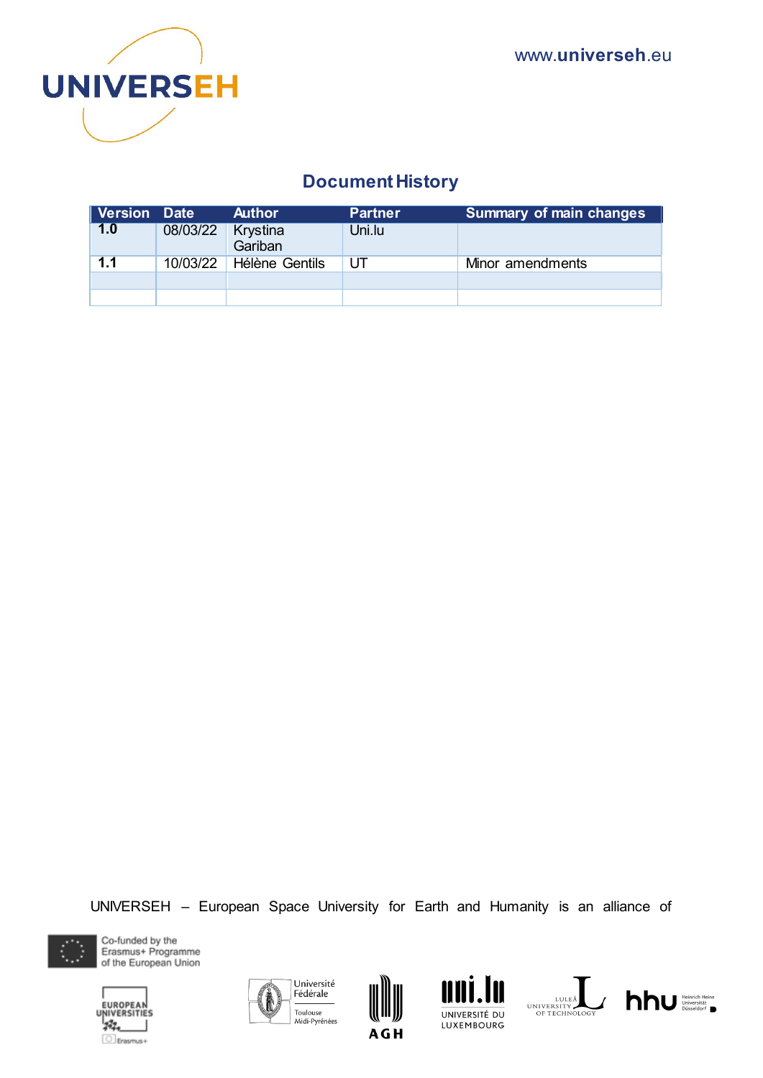

# **Document History**

| Version Date |          | <b>Author</b>       | <b>Partner</b> | Summary of main changes |
|--------------|----------|---------------------|----------------|-------------------------|
| 1.0          | 08/03/22 | Krystina<br>Gariban | Uni.lu         |                         |
| 1.1          | 10/03/22 | Hélène Gentils      | UT             | Minor amendments        |
|              |          |                     |                |                         |
|              |          |                     |                |                         |

UNIVERSEH – European Space University for Earth and Humanity is an alliance of













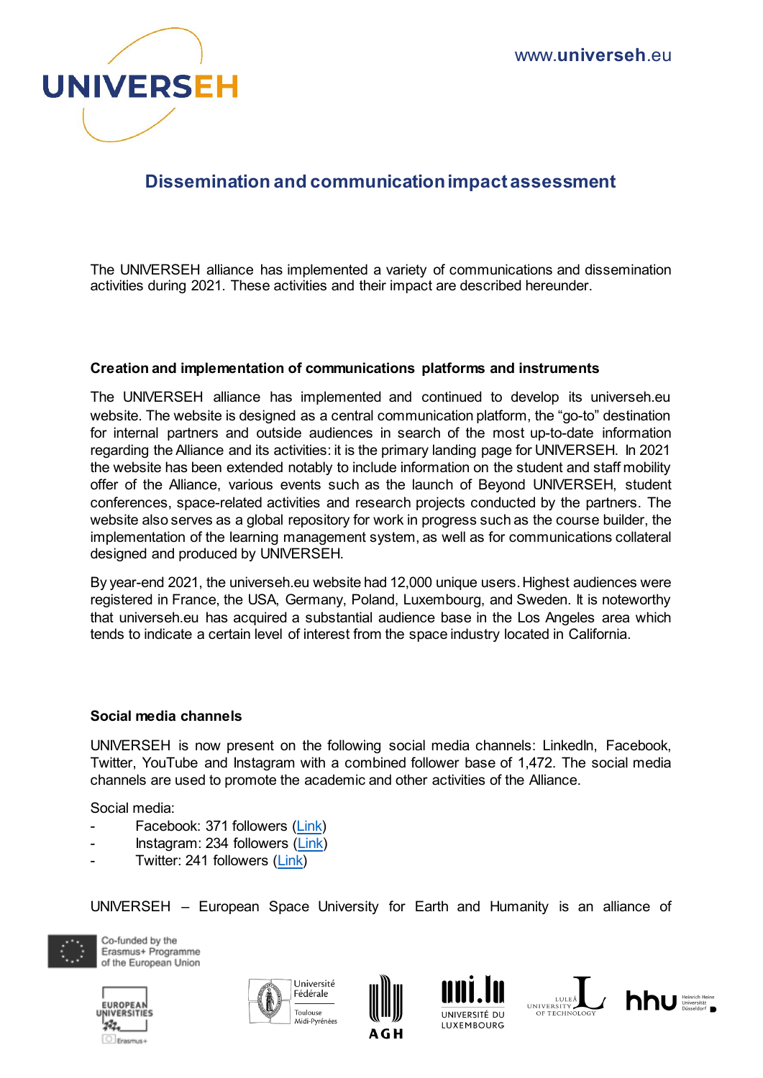

# **Dissemination and communication impact assessment**

The UNIVERSEH alliance has implemented a variety of communications and dissemination activities during 2021. These activities and their impact are described hereunder.

#### **Creation and implementation of communications platforms and instruments**

The UNIVERSEH alliance has implemented and continued to develop its universeh.eu website. The website is designed as a central communication platform, the "go-to" destination for internal partners and outside audiences in search of the most up-to-date information regarding the Alliance and its activities: it is the primary landing page for UNIVERSEH. In 2021 the website has been extended notably to include information on the student and staff mobility offer of the Alliance, various events such as the launch of Beyond UNIVERSEH, student conferences, space-related activities and research projects conducted by the partners. The website also serves as a global repository for work in progress such as the course builder, the implementation of the learning management system, as well as for communications collateral designed and produced by UNIVERSEH.

By year-end 2021, the universeh.eu website had 12,000 unique users. Highest audiences were registered in France, the USA, Germany, Poland, Luxembourg, and Sweden. It is noteworthy that universeh.eu has acquired a substantial audience base in the Los Angeles area which tends to indicate a certain level of interest from the space industry located in California.

#### **Social media channels**

UNIVERSEH is now present on the following social media channels: LinkedIn, Facebook, Twitter, YouTube and Instagram with a combined follower base of 1,472. The social media channels are used to promote the academic and other activities of the Alliance.

Social media:

- Facebook: 371 followers [\(Link\)](https://www.facebook.com/universeh.eu)
- Instagram: 234 followers [\(Link\)](https://www.instagram.com/universeh.eu/)
- Twitter: 241 followers [\(Link\)](https://twitter.com/universeh_eu)

UNIVERSEH – European Space University for Earth and Humanity is an alliance of











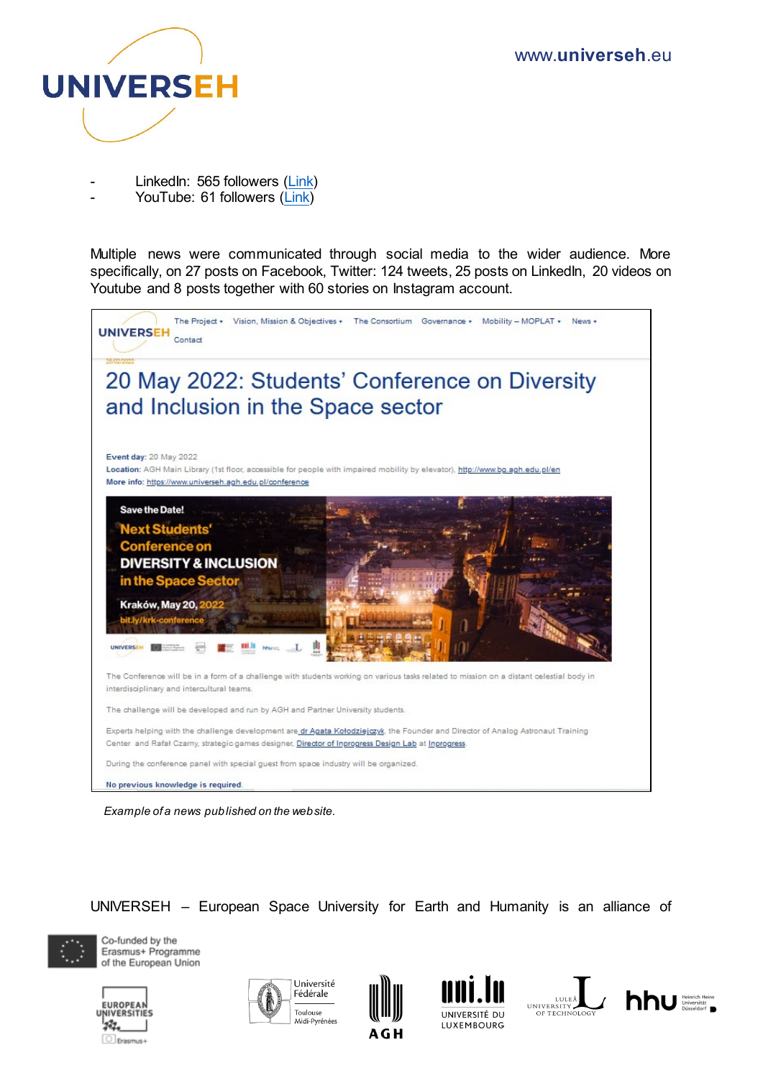

- LinkedIn: 565 followers [\(Link\)](https://www.linkedin.com/company/universeh-eu)
- YouTube: 61 followers [\(Link\)](https://www.youtube.com/channel/UCaC1Wya0oErjX9b61kqAKPw)

Multiple news were communicated through social media to the wider audience. More specifically, on 27 posts on Facebook, Twitter: 124 tweets, 25 posts on LinkedIn, 20 videos on Youtube and 8 posts together with 60 stories on Instagram account.



*Example of a news published on the website.* 

UNIVERSEH – European Space University for Earth and Humanity is an alliance of











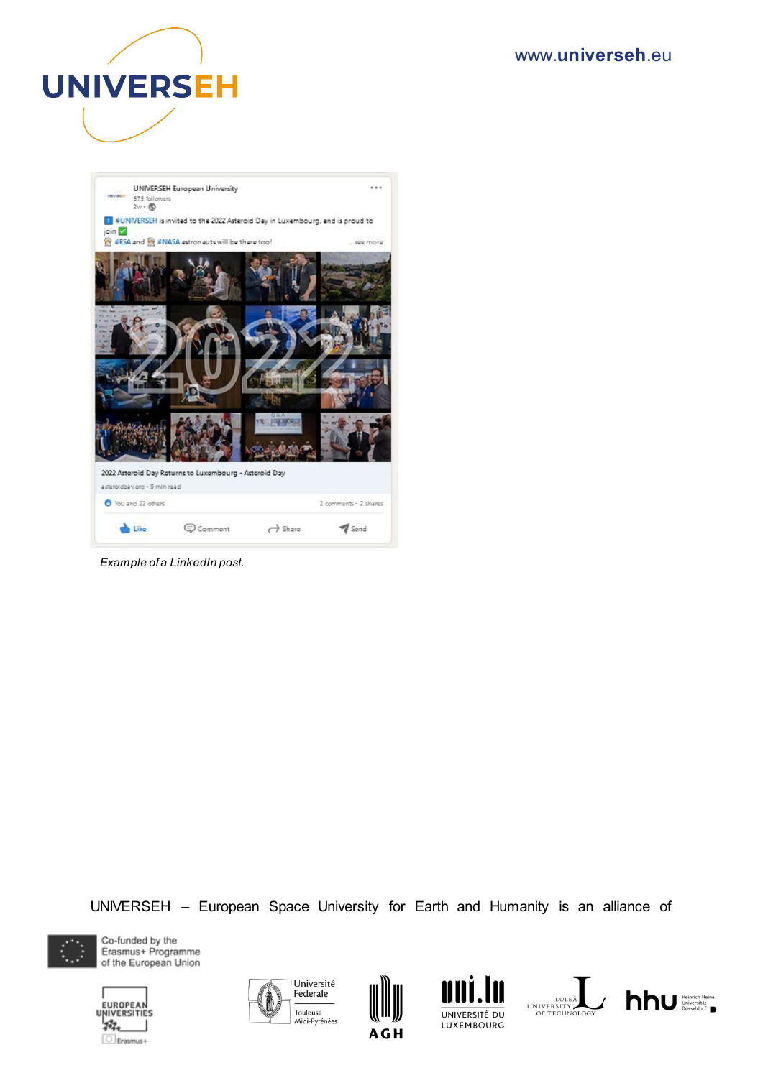## www.**universeh**.eu





*Example of a LinkedIn post.* 

UNIVERSEH – European Space University for Earth and Humanity is an alliance of













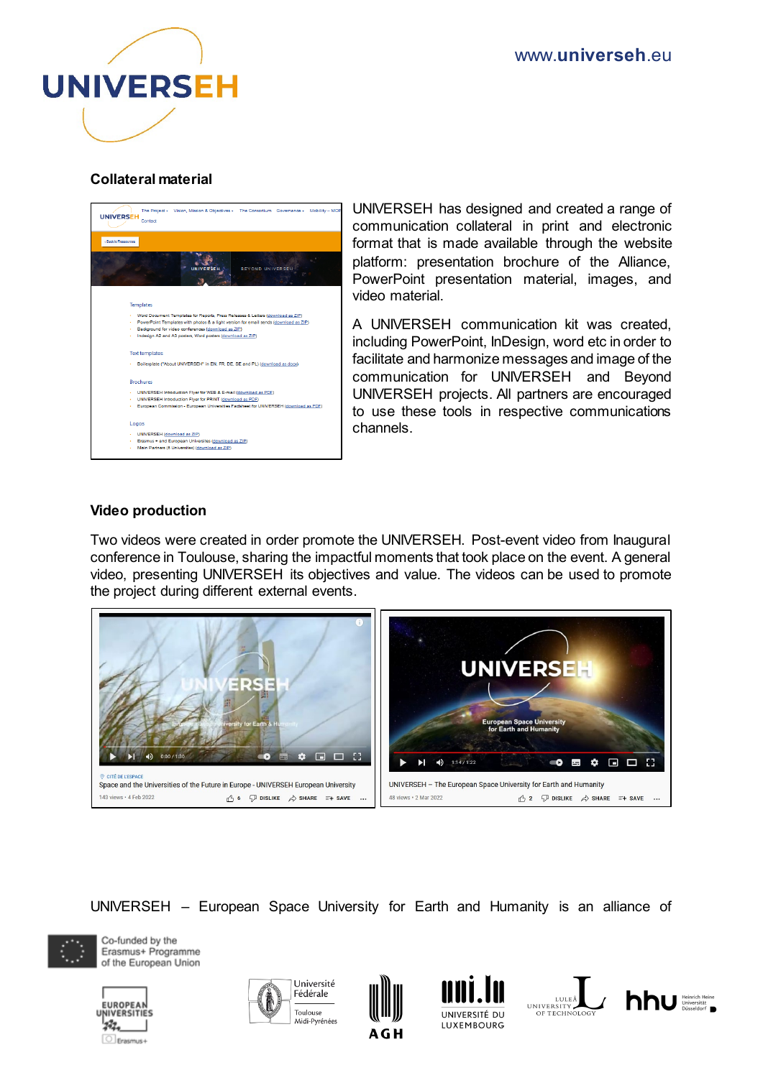

## **Collateral material**



UNIVERSEH has designed and created a range of communication collateral in print and electronic format that is made available through the website platform: presentation brochure of the Alliance, PowerPoint presentation material, images, and video material.

A UNIVERSEH communication kit was created, including PowerPoint, InDesign, word etc in order to facilitate and harmonize messages and image of the communication for UNIVERSEH and Beyond UNIVERSEH projects. All partners are encouraged to use these tools in respective communications channels.

## **Video production**

Two videos were created in order promote the UNIVERSEH. Post-event video from Inaugural conference in Toulouse, sharing the impactful moments that took place on the event. A general video, presenting UNIVERSEH its objectives and value. The videos can be used to promote the project during different external events.



UNIVERSEH – European Space University for Earth and Humanity is an alliance of